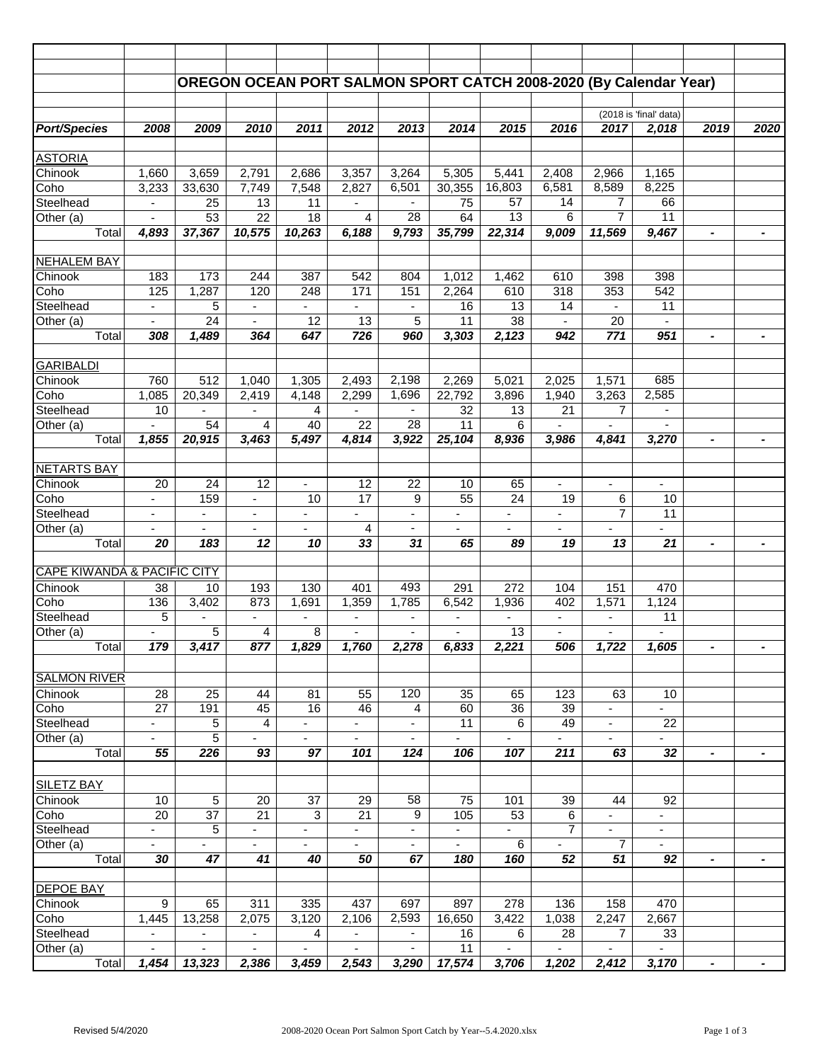|                                        |                          |                          |                          | OREGON OCEAN PORT SALMON SPORT CATCH 2008-2020 (By Calendar Year) |                          |                          |                          |                          |                          |                          |                                |                              |                |
|----------------------------------------|--------------------------|--------------------------|--------------------------|-------------------------------------------------------------------|--------------------------|--------------------------|--------------------------|--------------------------|--------------------------|--------------------------|--------------------------------|------------------------------|----------------|
|                                        |                          |                          |                          |                                                                   |                          |                          |                          |                          |                          |                          |                                |                              |                |
|                                        |                          |                          |                          |                                                                   |                          |                          |                          |                          |                          |                          | (2018 is 'final' data)         |                              |                |
| <b>Port/Species</b>                    | 2008                     | 2009                     | 2010                     | 2011                                                              | 2012                     | 2013                     | 2014                     | 2015                     | 2016                     | 2017                     | 2,018                          | 2019                         | 2020           |
| <b>ASTORIA</b>                         |                          |                          |                          |                                                                   |                          |                          |                          |                          |                          |                          |                                |                              |                |
| Chinook                                | 1,660                    | 3,659                    | 2,791                    | 2,686                                                             | 3,357                    | 3,264                    | 5,305                    | 5,441                    | 2,408                    | 2,966                    | 1,165                          |                              |                |
| Coho                                   | 3,233                    | 33,630                   | 7,749                    | 7,548                                                             | 2,827                    | 6,501                    | 30,355                   | 16,803                   | 6,581                    | 8,589                    | 8,225                          |                              |                |
| Steelhead                              | $\overline{\phantom{a}}$ | 25                       | 13                       | 11                                                                | $\overline{\phantom{a}}$ |                          | 75                       | 57                       | 14                       | 7                        | 66                             |                              |                |
| Other (a)                              |                          | 53                       | $\overline{22}$          | 18                                                                | 4                        | $\overline{28}$          | 64                       | $\overline{13}$          | 6                        | $\overline{7}$           | 11                             |                              |                |
| Total                                  | 4,893                    | 37,367                   | 10,575                   | 10,263                                                            | 6,188                    | 9,793                    | 35,799                   | 22,314                   | 9,009                    | 11,569                   | 9,467                          | $\blacksquare$               | $\blacksquare$ |
|                                        |                          |                          |                          |                                                                   |                          |                          |                          |                          |                          |                          |                                |                              |                |
| <b>NEHALEM BAY</b>                     |                          |                          |                          |                                                                   |                          |                          |                          |                          |                          |                          |                                |                              |                |
| Chinook                                | 183                      | 173                      | 244                      | 387                                                               | 542                      | 804                      | 1,012                    | 1,462                    | 610                      | 398                      | 398                            |                              |                |
| Coho                                   | 125                      | 1,287                    | 120                      | 248                                                               | 171                      | 151                      | 2,264                    | 610                      | 318                      | 353                      | 542                            |                              |                |
| Steelhead                              |                          | 5                        |                          |                                                                   |                          |                          | 16                       | 13                       | 14                       |                          | 11                             |                              |                |
| Other (a)                              | $\blacksquare$           | $\overline{24}$          | $\omega$                 | 12                                                                | 13                       | 5                        | 11                       | 38                       | $\blacksquare$           | $\overline{20}$          | $\blacksquare$                 |                              |                |
| Total                                  | 308                      | 1,489                    | 364                      | 647                                                               | 726                      | 960                      | 3,303                    | 2,123                    | 942                      | 771                      | 951                            | -                            | $\blacksquare$ |
| <b>GARIBALDI</b>                       |                          |                          |                          |                                                                   |                          |                          |                          |                          |                          |                          |                                |                              |                |
| Chinook                                | 760                      | 512                      | 1,040                    | 1,305                                                             | 2,493                    | 2,198                    | 2,269                    | 5,021                    | 2,025                    | 1,571                    | 685                            |                              |                |
| Coho                                   | 1,085                    | 20,349                   | 2,419                    | 4,148                                                             | 2,299                    | 1,696                    | 22,792                   | 3,896                    | 1,940                    | 3,263                    | 2,585                          |                              |                |
| Steelhead                              | 10                       | $\blacksquare$           | $\blacksquare$           | 4                                                                 | $\mathbf{r}$             | $\overline{\phantom{a}}$ | 32                       | 13                       | 21                       | $\overline{7}$           | $\blacksquare$                 |                              |                |
| Other (a)                              |                          | 54                       | 4                        | 40                                                                | 22                       | 28                       | 11                       | 6                        | $\blacksquare$           | $\blacksquare$           | $\overline{\phantom{a}}$       |                              |                |
| $\overline{T}$ otal                    | 1,855                    | 20,915                   | 3,463                    | 5,497                                                             | 4,814                    | 3,922                    | 25,104                   | 8,936                    | 3,986                    | 4,841                    | 3,270                          | $\qquad \qquad \blacksquare$ |                |
|                                        |                          |                          |                          |                                                                   |                          |                          |                          |                          |                          |                          |                                |                              |                |
| <b>NETARTS BAY</b>                     |                          |                          |                          |                                                                   |                          |                          |                          |                          |                          |                          |                                |                              |                |
| Chinook                                | 20                       | 24                       | 12                       |                                                                   | 12                       | $\overline{22}$          | 10                       | 65                       | $\blacksquare$           |                          |                                |                              |                |
| Coho                                   | ÷.                       | 159                      | $\blacksquare$           | 10                                                                | $\overline{17}$          | 9                        | $\overline{55}$          | $\overline{24}$          | 19                       | 6                        | 10                             |                              |                |
| Steelhead                              | $\overline{\phantom{a}}$ | $\overline{\phantom{a}}$ | $\blacksquare$           | $\overline{\phantom{a}}$                                          | $\blacksquare$           | $\blacksquare$           | $\overline{\phantom{0}}$ | $\overline{\phantom{a}}$ | $\overline{\phantom{a}}$ | $\overline{7}$           | 11                             |                              |                |
| Other (a)                              | $\overline{\phantom{a}}$ | $\overline{\phantom{a}}$ | $\overline{\phantom{a}}$ | $\overline{\phantom{a}}$                                          | 4                        | $\overline{\phantom{a}}$ | $\overline{\phantom{a}}$ | $\overline{\phantom{a}}$ | $\overline{\phantom{a}}$ |                          | ٠                              |                              |                |
| Total                                  | 20                       | 183                      | 12                       | 10                                                                | 33                       | 31                       | 65                       | 89                       | 19                       | 13                       | 21                             | -                            | $\overline{a}$ |
| <b>CAPE KIWANDA &amp; PACIFIC CITY</b> |                          |                          |                          |                                                                   |                          |                          |                          |                          |                          |                          |                                |                              |                |
| Chinook                                | 38                       | 10                       | 193                      | 130                                                               | 401                      | 493                      | 291                      | 272                      | 104                      | 151                      | 470                            |                              |                |
| Coho                                   | 136                      | 3,402                    | 873                      | 1,691                                                             | 1,359                    | 1,785                    | 6,542                    | 1,936                    | 402                      | 1,571                    | 1,124                          |                              |                |
| Steelhead                              | 5                        | $\overline{\phantom{a}}$ | $\blacksquare$           | $\blacksquare$                                                    | $\overline{\phantom{a}}$ | $\overline{\phantom{a}}$ | $\overline{\phantom{a}}$ | $\overline{\phantom{a}}$ | $\overline{\phantom{a}}$ | ÷,                       | 11                             |                              |                |
| Other (a)                              |                          | 5                        | 4                        | 8                                                                 | $\overline{\phantom{a}}$ |                          |                          | 13                       | $\overline{\phantom{a}}$ |                          |                                |                              |                |
| Total                                  | 179                      | 3,417                    | 877                      | 1,829                                                             | 1,760                    | 2,278                    | 6,833                    | 2,221                    | 506                      | 1,722                    | 1,605                          | $\blacksquare$               |                |
|                                        |                          |                          |                          |                                                                   |                          |                          |                          |                          |                          |                          |                                |                              |                |
| <b>SALMON RIVER</b>                    |                          |                          |                          |                                                                   |                          |                          |                          |                          |                          |                          |                                |                              |                |
| Chinook                                | 28                       | 25                       | 44                       | 81                                                                | 55                       | 120                      | 35                       | 65                       | 123                      | 63                       | 10                             |                              |                |
| Coho                                   | 27                       | 191                      | 45                       | 16                                                                | 46                       | 4                        | 60                       | 36                       | 39                       |                          |                                |                              |                |
| Steelhead                              | $\overline{\phantom{a}}$ | 5                        | 4                        | $\overline{\phantom{a}}$                                          | $\blacksquare$           | $\blacksquare$           | 11                       | 6                        | 49                       | $\blacksquare$           | 22                             |                              |                |
| Other (a)                              | $\blacksquare$           | 5                        | $\overline{\phantom{a}}$ | $\overline{\phantom{a}}$                                          | $\blacksquare$           | $\overline{\phantom{a}}$ |                          | $\overline{\phantom{a}}$ | $\overline{\phantom{a}}$ | $\overline{\phantom{a}}$ | $\overline{\phantom{a}}$       |                              |                |
| Total                                  | 55                       | 226                      | 93                       | 97                                                                | 101                      | 124                      | 106                      | 107                      | 211                      | 63                       | 32                             | $\blacksquare$               |                |
|                                        |                          |                          |                          |                                                                   |                          |                          |                          |                          |                          |                          |                                |                              |                |
| <b>SILETZ BAY</b>                      |                          | $\sqrt{5}$               |                          |                                                                   |                          | 58                       |                          |                          |                          |                          |                                |                              |                |
| Chinook<br>Coho                        | 10<br>$\overline{20}$    | 37                       | 20<br>21                 | 37<br>3                                                           | 29<br>21                 | 9                        | 75<br>105                | 101<br>53                | 39<br>$\,6\,$            | 44                       | 92<br>$\overline{\phantom{a}}$ |                              |                |
| Steelhead                              |                          | 5                        |                          |                                                                   |                          | $\overline{\phantom{a}}$ |                          |                          | $\overline{7}$           |                          |                                |                              |                |
| Other (a)                              | ÷.                       | ÷.                       | ÷.                       | $\overline{\phantom{a}}$                                          | ÷.                       | $\overline{a}$           | ÷.                       | 6                        | ÷.                       | $\overline{7}$           | $\blacksquare$                 |                              |                |
| Total                                  | 30                       | 47                       | 41                       | 40                                                                | 50                       | 67                       | 180                      | 160                      | 52                       | 51                       | 92                             | -                            | $\blacksquare$ |
|                                        |                          |                          |                          |                                                                   |                          |                          |                          |                          |                          |                          |                                |                              |                |
| <b>DEPOE BAY</b>                       |                          |                          |                          |                                                                   |                          |                          |                          |                          |                          |                          |                                |                              |                |
| Chinook                                | 9                        | 65                       | 311                      | 335                                                               | 437                      | 697                      | 897                      | 278                      | 136                      | 158                      | 470                            |                              |                |
| Coho                                   | 1,445                    | 13,258                   | 2,075                    | 3,120                                                             | 2,106                    | 2,593                    | 16,650                   | 3,422                    | 1,038                    | 2,247                    | 2,667                          |                              |                |
| Steelhead                              |                          |                          |                          | 4                                                                 | $\blacksquare$           | $\blacksquare$           | 16                       | 6                        | 28                       | $\overline{7}$           | 33                             |                              |                |
| Other (a)                              | $\overline{\phantom{a}}$ | $\overline{\phantom{a}}$ | $\blacksquare$           | $\overline{\phantom{a}}$                                          | $\blacksquare$           | $\overline{\phantom{a}}$ | 11                       | $\overline{\phantom{a}}$ | $\blacksquare$           | $\blacksquare$           | $\blacksquare$                 |                              |                |
| Total                                  | 1,454                    | 13,323                   | 2,386                    | 3,459                                                             | 2,543                    | 3,290                    | 17,574                   | 3,706                    | 1,202                    | 2,412                    | 3,170                          | $\blacksquare$               | $\blacksquare$ |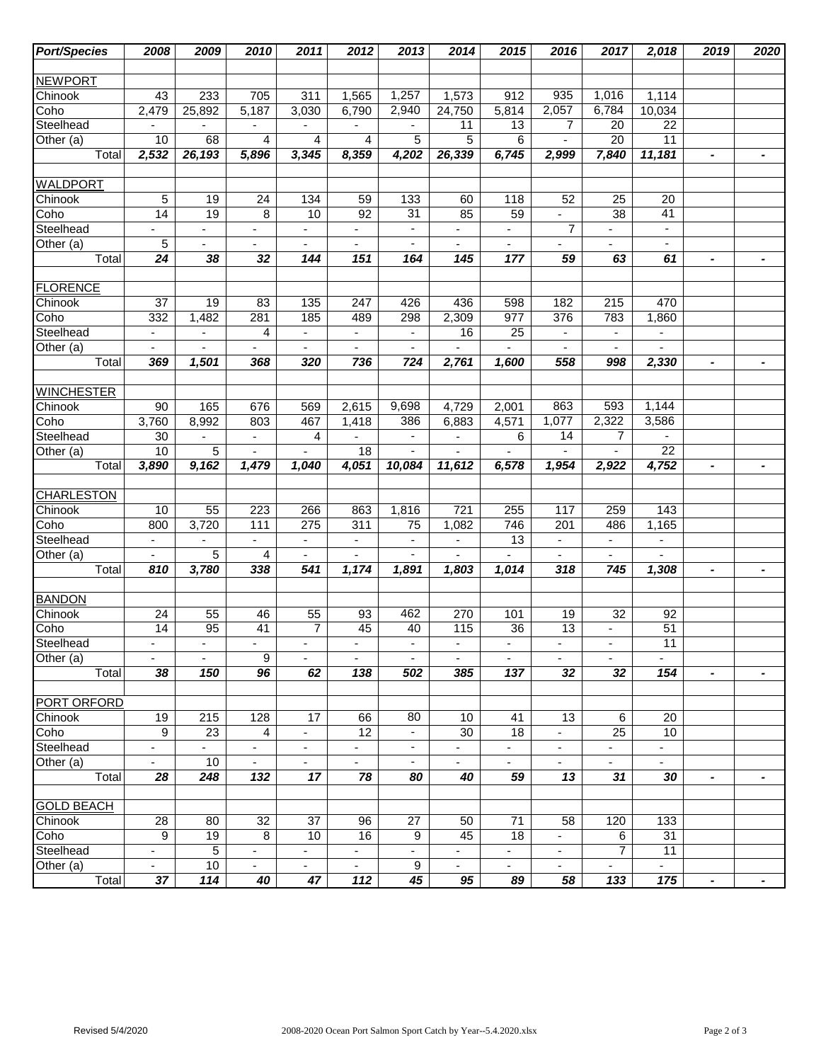| <b>Port/Species</b> | 2008                     | 2009                     | 2010                     | 2011                     | 2012                     | 2013                     | 2014                     | 2015                     | 2016                     | 2017                     | 2,018                    | 2019                     | 2020           |
|---------------------|--------------------------|--------------------------|--------------------------|--------------------------|--------------------------|--------------------------|--------------------------|--------------------------|--------------------------|--------------------------|--------------------------|--------------------------|----------------|
|                     |                          |                          |                          |                          |                          |                          |                          |                          |                          |                          |                          |                          |                |
| <b>NEWPORT</b>      |                          |                          |                          |                          |                          |                          |                          |                          |                          |                          |                          |                          |                |
| Chinook             | 43                       | 233                      | 705                      | 311                      | 1,565                    | 1,257                    | 1,573                    | 912                      | 935                      | 1,016                    | 1,114                    |                          |                |
| Coho                | 2,479                    | 25,892                   | 5,187                    | 3,030                    | 6,790                    | 2,940                    | 24,750                   | 5,814                    | 2,057                    | 6,784                    | 10,034                   |                          |                |
| Steelhead           |                          | -                        | $\overline{\phantom{a}}$ |                          | ٠                        | $\blacksquare$           | 11                       | 13                       | 7                        | 20                       | 22                       |                          |                |
| Other (a)           | 10                       | 68                       | 4                        | 4                        | 4                        | $\overline{5}$           | 5                        | 6                        | $\blacksquare$           | $\overline{20}$          | 11                       |                          |                |
| Total               | 2,532                    | 26,193                   | 5,896                    | 3,345                    | 8,359                    | 4,202                    | 26,339                   | 6,745                    | 2,999                    | 7,840                    | 11,181                   | $\blacksquare$           | $\blacksquare$ |
|                     |                          |                          |                          |                          |                          |                          |                          |                          |                          |                          |                          |                          |                |
| <b>WALDPORT</b>     |                          |                          |                          |                          |                          |                          |                          |                          |                          |                          |                          |                          |                |
| Chinook             | 5                        | 19                       | 24                       | 134                      | 59                       | 133                      | 60                       | 118                      | 52                       | 25                       | 20                       |                          |                |
| Coho                | 14                       | 19                       | 8                        | 10                       | 92                       | 31                       | 85                       | 59                       | $\overline{\phantom{0}}$ | 38                       | 41                       |                          |                |
| Steelhead           |                          |                          | ÷,                       |                          | $\overline{\phantom{0}}$ | $\blacksquare$           |                          |                          | $\overline{7}$           |                          | $\overline{\phantom{a}}$ |                          |                |
| Other (a)           | 5                        | $\overline{\phantom{a}}$ | $\overline{\phantom{a}}$ | $\overline{\phantom{a}}$ | $\overline{\phantom{a}}$ | $\overline{\phantom{a}}$ | $\overline{\phantom{a}}$ | $\overline{\phantom{a}}$ | -                        | $\overline{\phantom{a}}$ | $\blacksquare$           |                          |                |
| Total               | 24                       | 38                       | 32                       | 144                      | 151                      | 164                      | 145                      | 177                      | 59                       | 63                       | 61                       | $\blacksquare$           | $\blacksquare$ |
|                     |                          |                          |                          |                          |                          |                          |                          |                          |                          |                          |                          |                          |                |
| <b>FLORENCE</b>     |                          |                          |                          |                          |                          |                          |                          |                          |                          |                          |                          |                          |                |
| Chinook             | 37                       | 19                       | 83                       | 135                      | 247                      | 426                      | 436                      | 598                      | 182                      | $\overline{215}$         | 470                      |                          |                |
| Coho                | 332                      | 1,482                    | 281                      | 185                      | 489                      | 298                      | 2,309                    | 977                      | 376                      | 783                      | 1,860                    |                          |                |
| Steelhead           | $\overline{\phantom{a}}$ | $\overline{\phantom{a}}$ | 4                        | $\blacksquare$           | $\blacksquare$           | $\blacksquare$           | 16                       | 25                       | $\overline{\phantom{a}}$ | $\blacksquare$           | $\overline{\phantom{a}}$ |                          |                |
| Other (a)           | $\overline{\phantom{0}}$ |                          |                          | $\blacksquare$           | $\blacksquare$           | $\blacksquare$           |                          |                          | $\blacksquare$           |                          |                          |                          |                |
| Total               | 369                      | 1,501                    | 368                      | 320                      | 736                      | 724                      | 2,761                    | 1,600                    | 558                      | 998                      | 2,330                    | $\blacksquare$           |                |
|                     |                          |                          |                          |                          |                          |                          |                          |                          |                          |                          |                          |                          |                |
| <b>WINCHESTER</b>   |                          |                          |                          |                          |                          |                          |                          |                          |                          |                          |                          |                          |                |
| Chinook             | 90                       | 165                      | 676                      | 569                      | 2,615                    | 9,698                    | 4,729                    | 2,001                    | 863                      | 593                      | 1,144                    |                          |                |
| Coho                | 3,760                    | 8,992                    | 803                      | 467                      | 1,418                    | 386                      | 6,883                    | 4,571                    | 1,077                    | 2,322                    | 3,586                    |                          |                |
| Steelhead           | 30                       | $\overline{\phantom{a}}$ | $\blacksquare$           | 4                        | $\blacksquare$           | $\overline{\phantom{a}}$ | $\overline{\phantom{a}}$ | 6                        | $\overline{14}$          | $\overline{7}$           |                          |                          |                |
| Other (a)           | 10                       | $\overline{5}$           |                          |                          | 18                       |                          |                          |                          |                          |                          | 22                       |                          |                |
| Total               | 3,890                    | 9,162                    | 1,479                    | 1,040                    | 4,051                    | 10,084                   | 11,612                   | 6,578                    | 1,954                    | 2,922                    | 4,752                    | $\blacksquare$           | $\blacksquare$ |
|                     |                          |                          |                          |                          |                          |                          |                          |                          |                          |                          |                          |                          |                |
| <b>CHARLESTON</b>   |                          |                          |                          |                          |                          |                          |                          |                          |                          |                          |                          |                          |                |
| Chinook             | 10                       | 55                       | 223                      | 266                      | 863                      | 1,816                    | 721                      | 255                      | 117                      | 259                      | 143                      |                          |                |
| Coho                | 800                      | 3,720                    | 111                      | 275                      | 311                      | $\overline{75}$          | 1,082                    | 746                      | 201                      | 486                      | 1,165                    |                          |                |
| Steelhead           | $\overline{\phantom{a}}$ |                          |                          | $\overline{\phantom{a}}$ | $\blacksquare$           | ä,<br>$\overline{a}$     | $\overline{\phantom{a}}$ | 13                       | ÷,                       | $\overline{\phantom{a}}$ | $\overline{\phantom{a}}$ |                          |                |
| Other (a)<br>Total  |                          | 5                        | 4                        | ä,<br>541                |                          |                          |                          | 1,014                    |                          |                          |                          |                          |                |
|                     | 810                      | 3,780                    | 338                      |                          | 1,174                    | 1,891                    | 1,803                    |                          | 318                      | 745                      | 1,308                    | $\blacksquare$           | $\blacksquare$ |
| <b>BANDON</b>       |                          |                          |                          |                          |                          |                          |                          |                          |                          |                          |                          |                          |                |
| Chinook             | 24                       | 55                       | 46                       | 55                       | 93                       | 462                      | 270                      | 101                      | 19                       | 32                       | 92                       |                          |                |
| Coho                | $\overline{14}$          | 95                       | 41                       | $\overline{7}$           | 45                       | 40                       | 115                      | 36                       | $\overline{13}$          | $\blacksquare$           | 51                       |                          |                |
| Steelhead           |                          |                          |                          |                          |                          |                          |                          |                          |                          |                          | $\overline{11}$          |                          |                |
| Other $(a)$         | $\blacksquare$           | $\blacksquare$           | 9                        | $\blacksquare$           | $\sim$                   | $\blacksquare$           | $\overline{\phantom{a}}$ | $\blacksquare$           | $\overline{\phantom{a}}$ | $\blacksquare$           | $\blacksquare$           |                          |                |
| Total               | 38                       | 150                      | 96                       | 62                       | 138                      | 502                      | 385                      | 137                      | 32                       | 32                       | 154                      | $\overline{\phantom{0}}$ | $\blacksquare$ |
|                     |                          |                          |                          |                          |                          |                          |                          |                          |                          |                          |                          |                          |                |
| PORT ORFORD         |                          |                          |                          |                          |                          |                          |                          |                          |                          |                          |                          |                          |                |
| Chinook             | 19                       | 215                      | 128                      | 17                       | 66                       | 80                       | 10                       | 41                       | 13                       | 6                        | 20                       |                          |                |
| Coho                | 9                        | 23                       | 4                        |                          | 12                       |                          | 30                       | 18                       |                          | 25                       | 10 <sup>°</sup>          |                          |                |
| Steelhead           | $\blacksquare$           | $\sim$                   | $\blacksquare$           | $\blacksquare$           | $\blacksquare$           | $\blacksquare$           | $\blacksquare$           | $\overline{\phantom{0}}$ | $\overline{\phantom{0}}$ | $\blacksquare$           | $\blacksquare$           |                          |                |
| Other (a)           | $\sim$                   | 10                       | $\sim$                   | $\blacksquare$           | $\blacksquare$           | $\blacksquare$           | $\blacksquare$           | $\overline{\phantom{0}}$ | $\blacksquare$           | $\blacksquare$           | $\blacksquare$           |                          |                |
| Total               | 28                       | 248                      | 132                      | 17                       | 78                       | 80                       | 40                       | 59                       | 13                       | 31                       | 30                       | $\blacksquare$           | $\blacksquare$ |
|                     |                          |                          |                          |                          |                          |                          |                          |                          |                          |                          |                          |                          |                |
| <b>GOLD BEACH</b>   |                          |                          |                          |                          |                          |                          |                          |                          |                          |                          |                          |                          |                |
| Chinook             | 28                       | 80                       | 32                       | 37                       | 96                       | 27                       | 50                       | 71                       | 58                       | 120                      | 133                      |                          |                |
| Coho                | 9                        | 19                       | 8                        | 10                       | 16                       | 9                        | 45                       | 18                       | $\blacksquare$           | 6                        | 31                       |                          |                |
| Steelhead           | $\overline{\phantom{a}}$ | 5                        | $\overline{\phantom{a}}$ | $\blacksquare$           | $\blacksquare$           | $\overline{\phantom{0}}$ | $\overline{\phantom{a}}$ | $\overline{\phantom{a}}$ | ٠                        | $\overline{7}$           | 11                       |                          |                |
| Other (a)           | $\blacksquare$           | 10                       | $\blacksquare$           | $\sim$                   | $\blacksquare$           | 9                        | $\blacksquare$           | $\blacksquare$           | $\overline{\phantom{0}}$ |                          | $\blacksquare$           |                          |                |
| Total               | 37                       | 114                      | 40                       | 47                       | 112                      | 45                       | 95                       | 89                       | 58                       | 133                      | 175                      | $\blacksquare$           | $\blacksquare$ |